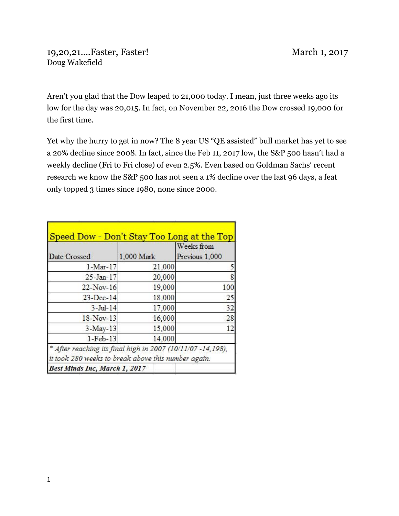Aren't you glad that the Dow leaped to 21,000 today. I mean, just three weeks ago its low for the day was 20,015. In fact, on November 22, 2016 the Dow crossed 19,000 for the first time.

Yet why the hurry to get in now? The 8 year US "QE assisted" bull market has yet to see a 20% decline since 2008. In fact, since the Feb 11, 2017 low, the S&P 500 hasn't had a weekly decline (Fri to Fri close) of even 2.5%. Even based on Goldman Sachs' recent research we know the S&P 500 has not seen a 1% decline over the last 96 days, a feat only topped 3 times since 1980, none since 2000.

|                                                             |            | Weeks from     |
|-------------------------------------------------------------|------------|----------------|
| Date Crossed                                                | 1,000 Mark | Previous 1,000 |
| $1-Mar-17$                                                  | 21,000     |                |
| $25 - Jan - 17$                                             | 20,000     | 8              |
| $22$ -Nov-16                                                | 19,000     | 100            |
| $23$ -Dec-14                                                | 18,000     | 25             |
| $3-Jul-14$                                                  | 17,000     | 32             |
| 18-Nov-13                                                   | 16,000     | 28             |
| $3-May-13$                                                  | 15,000     | 12             |
| $1-Feb-13$                                                  | 14,000     |                |
| * After reaching its final high in 2007 (10/11/07 -14,198), |            |                |
| it took 280 weeks to break above this number again.         |            |                |
| Best Minds Inc, March 1, 2017                               |            |                |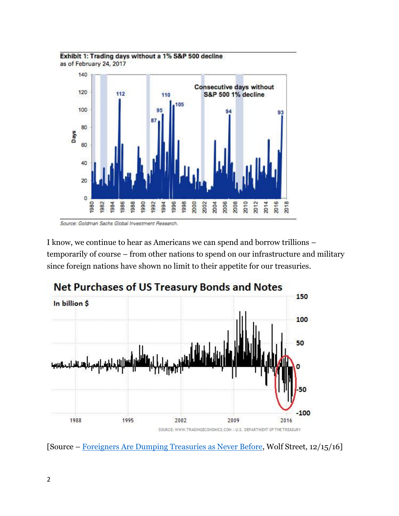



Source: Goldman Sachs Global Investment Research.

I know, we continue to hear as Americans we can spend and borrow trillions – temporarily of course – from other nations to spend on our infrastructure and military since foreign nations have shown no limit to their appetite for our treasuries.



[Source – [Foreigners Are Dumping Treasuries as Never Before,](http://wolfstreet.com/2016/12/15/foreigners-dump-u-s-treasurys-as-never-before/) Wolf Street, 12/15/16]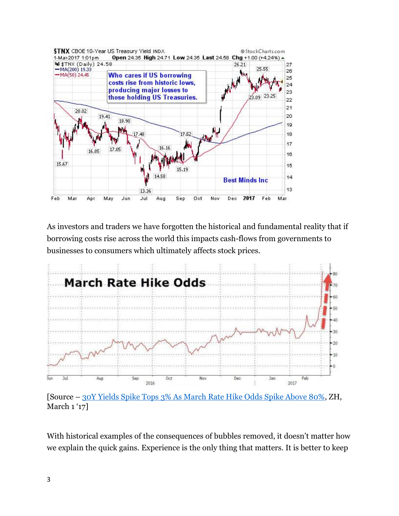

As investors and traders we have forgotten the historical and fundamental reality that if borrowing costs rise across the world this impacts cash-flows from governments to businesses to consumers which ultimately affects stock prices.



[Source – [30Y Yields Spike Tops 3% As March Rate Hike Odds Spike Above 80%,](http://www.zerohedge.com/news/2017-03-01/30y-yields-tops-3-march-rate-hike-odds-spikes-above-80) ZH, March 1'17]

With historical examples of the consequences of bubbles removed, it doesn't matter how we explain the quick gains. Experience is the only thing that matters. It is better to keep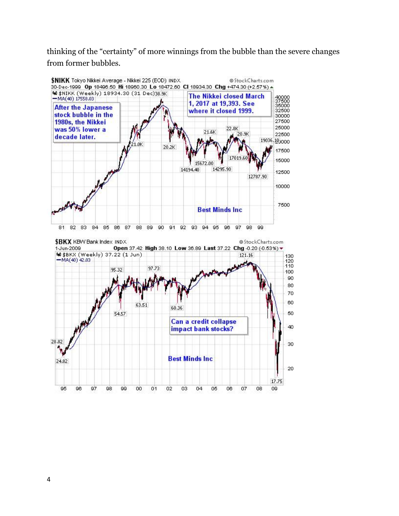thinking of the "certainty" of more winnings from the bubble than the severe changes from former bubbles.

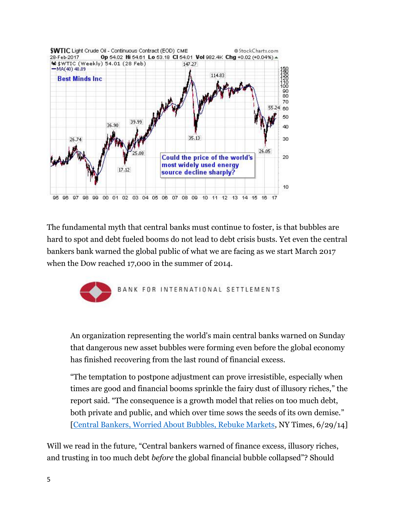

The fundamental myth that central banks must continue to foster, is that bubbles are hard to spot and debt fueled booms do not lead to debt crisis busts. Yet even the central bankers bank warned the global public of what we are facing as we start March 2017 when the Dow reached 17,000 in the summer of 2014.



An organization representing the world's main central banks warned on Sunday that dangerous new asset bubbles were forming even before the global economy has finished recovering from the last round of financial excess.

"The temptation to postpone adjustment can prove irresistible, especially when times are good and financial booms sprinkle the fairy dust of illusory riches," the report said. "The consequence is a growth model that relies on too much debt, both private and public, and which over time sows the seeds of its own demise." [\[Central Bankers, Worried About Bubbles, Rebuke Markets,](https://www.nytimes.com/2014/06/30/business/international/central-bankers-issue-strong-warning-on-asset-bubbles.html?_r=0) NY Times, 6/29/14]

Will we read in the future, "Central bankers warned of finance excess, illusory riches, and trusting in too much debt *before* the global financial bubble collapsed"? Should